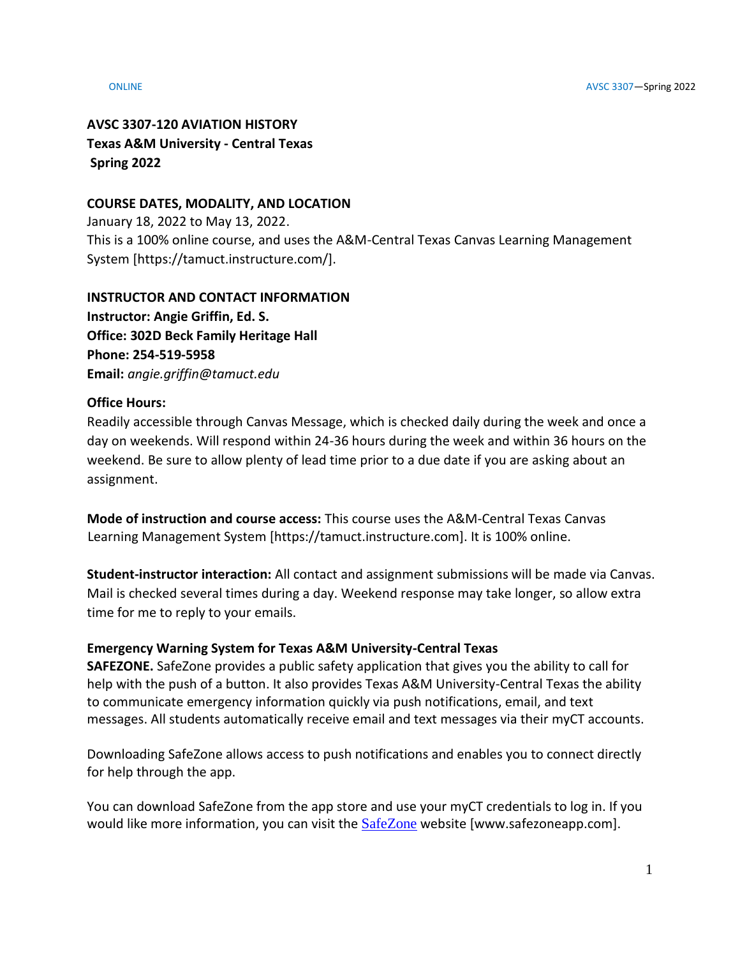# **AVSC 3307-120 AVIATION HISTORY Texas A&M University - Central Texas Spring 2022**

## **COURSE DATES, MODALITY, AND LOCATION**

January 18, 2022 to May 13, 2022. This is a 100% online course, and uses the A&M-Central Texas Canvas Learning Management System [https://tamuct.instructure.com/].

# **INSTRUCTOR AND CONTACT INFORMATION Instructor: Angie Griffin, Ed. S. Office: 302D Beck Family Heritage Hall**

**Phone: 254-519-5958 Email:** *angie.griffin@tamuct.edu*

## **Office Hours:**

Readily accessible through Canvas Message, which is checked daily during the week and once a day on weekends. Will respond within 24-36 hours during the week and within 36 hours on the weekend. Be sure to allow plenty of lead time prior to a due date if you are asking about an assignment.

**Mode of instruction and course access:** This course uses the A&M-Central Texas Canvas Learning Management System [https://tamuct.instructure.com]. It is 100% online.

**Student-instructor interaction:** All contact and assignment submissions will be made via Canvas. Mail is checked several times during a day. Weekend response may take longer, so allow extra time for me to reply to your emails.

# **Emergency Warning System for Texas A&M University-Central Texas**

**SAFEZONE.** SafeZone provides a public safety application that gives you the ability to call for help with the push of a button. It also provides Texas A&M University-Central Texas the ability to communicate emergency information quickly via push notifications, email, and text messages. All students automatically receive email and text messages via their myCT accounts.

Downloading SafeZone allows access to push notifications and enables you to connect directly for help through the app.

You can download SafeZone from the app store and use your myCT credentials to log in. If you would like more information, you can visit the [SafeZone](https://nam04.safelinks.protection.outlook.com/?url=http%3A%2F%2Fwww.safezoneapp.com%2F&data=04%7C01%7Ccarson.pearce%40tamuct.edu%7C36042fab4fc7434c090008d9c3cb353b%7C9eed4e3000f744849ff193ad8005acec%7C0%7C0%7C637756100428183868%7CUnknown%7CTWFpbGZsb3d8eyJWIjoiMC4wLjAwMDAiLCJQIjoiV2luMzIiLCJBTiI6Ik1haWwiLCJXVCI6Mn0%3D%7C3000&sdata=M9GtdIRPIWaqAL85MChHRNMQgb%2FnvmJdfyjR%2BUN19pk%3D&reserved=0) website [www.safezoneapp.com].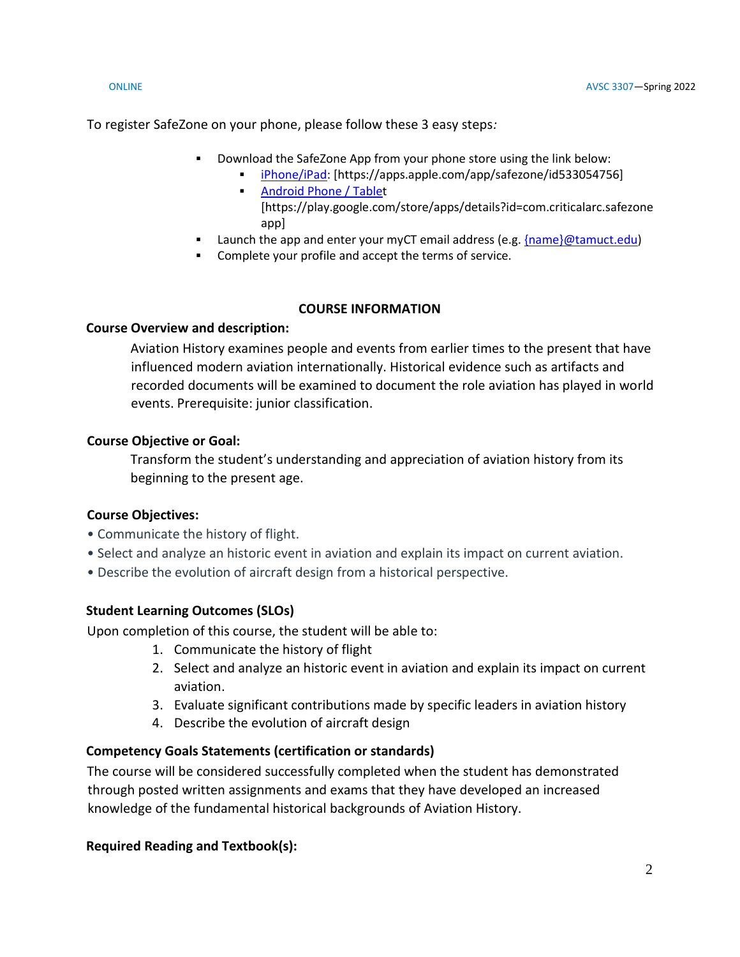To register SafeZone on your phone, please follow these 3 easy steps*:*

- Download the SafeZone App from your phone store using the link below:
	- [iPhone/iPad:](https://nam04.safelinks.protection.outlook.com/?url=https%3A%2F%2Fapps.apple.com%2Fapp%2Fsafezone%2Fid533054756&data=04%7C01%7Ccarson.pearce%40tamuct.edu%7C36042fab4fc7434c090008d9c3cb353b%7C9eed4e3000f744849ff193ad8005acec%7C0%7C0%7C637756100428183868%7CUnknown%7CTWFpbGZsb3d8eyJWIjoiMC4wLjAwMDAiLCJQIjoiV2luMzIiLCJBTiI6Ik1haWwiLCJXVCI6Mn0%3D%7C3000&sdata=vPQVTvekmuTQkNF6pF73JFVExrbMKfheHZ%2BjyIbHOvY%3D&reserved=0) [https://apps.apple.com/app/safezone/id533054756] **[Android Phone / Tablet](https://nam04.safelinks.protection.outlook.com/?url=https%3A%2F%2Fplay.google.com%2Fstore%2Fapps%2Fdetails%3Fid%3Dcom.criticalarc.safezoneapp&data=04%7C01%7Ccarson.pearce%40tamuct.edu%7C36042fab4fc7434c090008d9c3cb353b%7C9eed4e3000f744849ff193ad8005acec%7C0%7C0%7C637756100428183868%7CUnknown%7CTWFpbGZsb3d8eyJWIjoiMC4wLjAwMDAiLCJQIjoiV2luMzIiLCJBTiI6Ik1haWwiLCJXVCI6Mn0%3D%7C3000&sdata=HL5WG7P5ZCWthKyES6ag8naBQllFHtelfPV4m6jfPYg%3D&reserved=0)**
	- [https://play.google.com/store/apps/details?id=com.criticalarc.safezone app]
- **Example 1** Launch the app and enter your myCT email address (e.g.  ${name}$ ) ${phi}$
- Complete your profile and accept the terms of service.

# **COURSE INFORMATION**

## **Course Overview and description:**

Aviation History examines people and events from earlier times to the present that have influenced modern aviation internationally. Historical evidence such as artifacts and recorded documents will be examined to document the role aviation has played in world events. Prerequisite: junior classification.

## **Course Objective or Goal:**

Transform the student's understanding and appreciation of aviation history from its beginning to the present age.

## **Course Objectives:**

- Communicate the history of flight.
- Select and analyze an historic event in aviation and explain its impact on current aviation.
- Describe the evolution of aircraft design from a historical perspective.

# **Student Learning Outcomes (SLOs)**

Upon completion of this course, the student will be able to:

- 1. Communicate the history of flight
- 2. Select and analyze an historic event in aviation and explain its impact on current aviation.
- 3. Evaluate significant contributions made by specific leaders in aviation history
- 4. Describe the evolution of aircraft design

# **Competency Goals Statements (certification or standards)**

The course will be considered successfully completed when the student has demonstrated through posted written assignments and exams that they have developed an increased knowledge of the fundamental historical backgrounds of Aviation History.

# **Required Reading and Textbook(s):**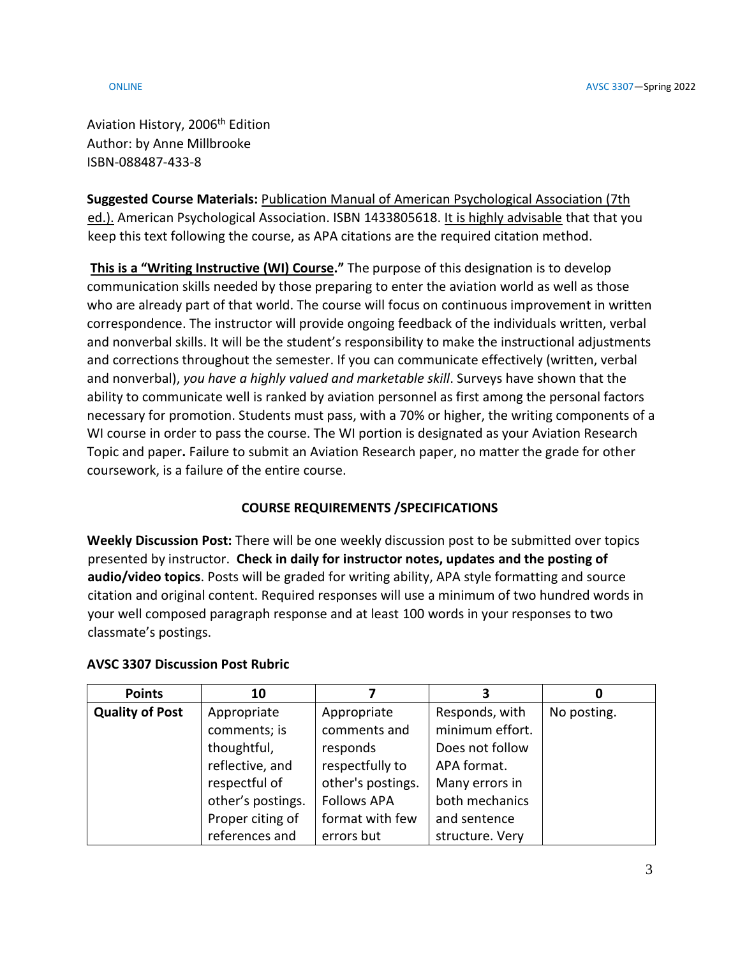Aviation History, 2006<sup>th</sup> Edition Author: by Anne Millbrooke ISBN-088487-433-8

**Suggested Course Materials:** Publication Manual of American Psychological Association (7th ed.). American Psychological Association. ISBN 1433805618. It is highly advisable that that you keep this text following the course, as APA citations are the required citation method.

**This is a "Writing Instructive (WI) Course."** The purpose of this designation is to develop communication skills needed by those preparing to enter the aviation world as well as those who are already part of that world. The course will focus on continuous improvement in written correspondence. The instructor will provide ongoing feedback of the individuals written, verbal and nonverbal skills. It will be the student's responsibility to make the instructional adjustments and corrections throughout the semester. If you can communicate effectively (written, verbal and nonverbal), *you have a highly valued and marketable skill*. Surveys have shown that the ability to communicate well is ranked by aviation personnel as first among the personal factors necessary for promotion. Students must pass, with a 70% or higher, the writing components of a WI course in order to pass the course. The WI portion is designated as your Aviation Research Topic and paper**.** Failure to submit an Aviation Research paper, no matter the grade for other coursework, is a failure of the entire course.

# **COURSE REQUIREMENTS /SPECIFICATIONS**

**Weekly Discussion Post:** There will be one weekly discussion post to be submitted over topics presented by instructor. **Check in daily for instructor notes, updates and the posting of audio/video topics**. Posts will be graded for writing ability, APA style formatting and source citation and original content. Required responses will use a minimum of two hundred words in your well composed paragraph response and at least 100 words in your responses to two classmate's postings.

## **AVSC 3307 Discussion Post Rubric**

| <b>Points</b>          | 10                |                    | 3               |             |
|------------------------|-------------------|--------------------|-----------------|-------------|
| <b>Quality of Post</b> | Appropriate       | Appropriate        | Responds, with  | No posting. |
|                        | comments; is      | comments and       | minimum effort. |             |
|                        | thoughtful,       | responds           | Does not follow |             |
|                        | reflective, and   | respectfully to    | APA format.     |             |
|                        | respectful of     | other's postings.  | Many errors in  |             |
|                        | other's postings. | <b>Follows APA</b> | both mechanics  |             |
|                        | Proper citing of  | format with few    | and sentence    |             |
|                        | references and    | errors but         | structure. Very |             |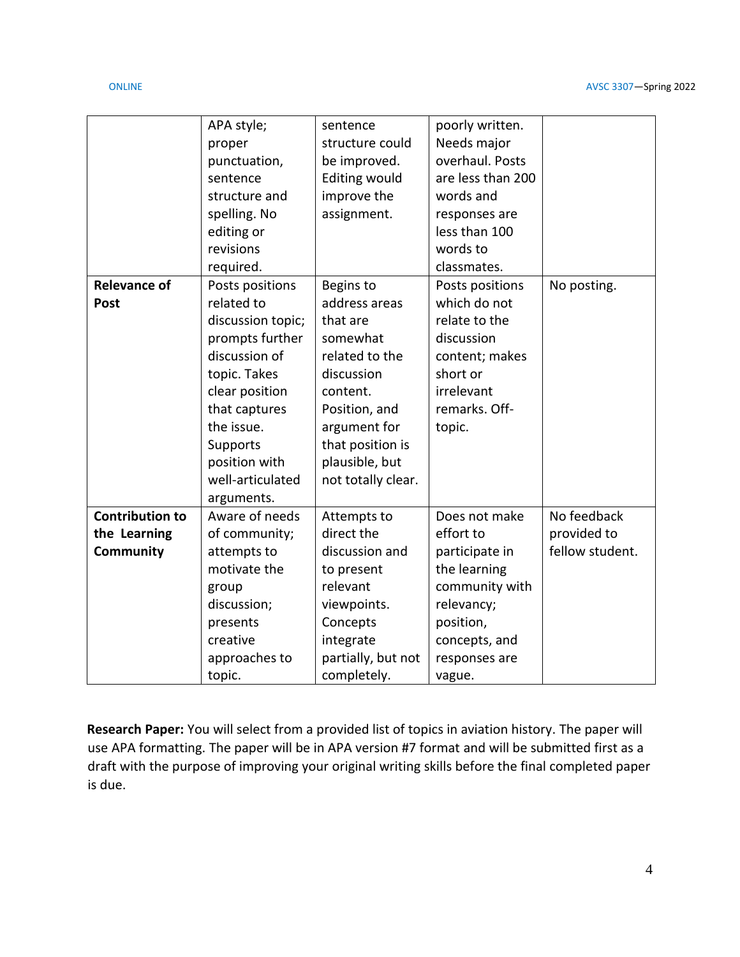|                        | APA style;        | sentence             | poorly written.   |                 |
|------------------------|-------------------|----------------------|-------------------|-----------------|
|                        | proper            | structure could      | Needs major       |                 |
|                        | punctuation,      | be improved.         | overhaul. Posts   |                 |
|                        | sentence          | <b>Editing would</b> | are less than 200 |                 |
|                        | structure and     | improve the          | words and         |                 |
|                        | spelling. No      | assignment.          | responses are     |                 |
|                        | editing or        |                      | less than 100     |                 |
|                        | revisions         |                      | words to          |                 |
|                        | required.         |                      | classmates.       |                 |
| <b>Relevance of</b>    | Posts positions   | Begins to            | Posts positions   | No posting.     |
| <b>Post</b>            | related to        | address areas        | which do not      |                 |
|                        | discussion topic; | that are             | relate to the     |                 |
|                        | prompts further   | somewhat             | discussion        |                 |
|                        | discussion of     | related to the       | content; makes    |                 |
|                        | topic. Takes      | discussion           | short or          |                 |
|                        | clear position    | content.             | irrelevant        |                 |
|                        | that captures     | Position, and        | remarks. Off-     |                 |
|                        | the issue.        | argument for         | topic.            |                 |
|                        | Supports          | that position is     |                   |                 |
|                        | position with     | plausible, but       |                   |                 |
|                        | well-articulated  | not totally clear.   |                   |                 |
|                        | arguments.        |                      |                   |                 |
| <b>Contribution to</b> | Aware of needs    | Attempts to          | Does not make     | No feedback     |
| the Learning           | of community;     | direct the           | effort to         | provided to     |
| Community              | attempts to       | discussion and       | participate in    | fellow student. |
|                        | motivate the      | to present           | the learning      |                 |
|                        | group             | relevant             | community with    |                 |
|                        | discussion;       | viewpoints.          | relevancy;        |                 |
|                        | presents          | Concepts             | position,         |                 |
|                        | creative          | integrate            | concepts, and     |                 |
|                        | approaches to     | partially, but not   | responses are     |                 |
|                        | topic.            | completely.          | vague.            |                 |

**Research Paper:** You will select from a provided list of topics in aviation history. The paper will use APA formatting. The paper will be in APA version #7 format and will be submitted first as a draft with the purpose of improving your original writing skills before the final completed paper is due.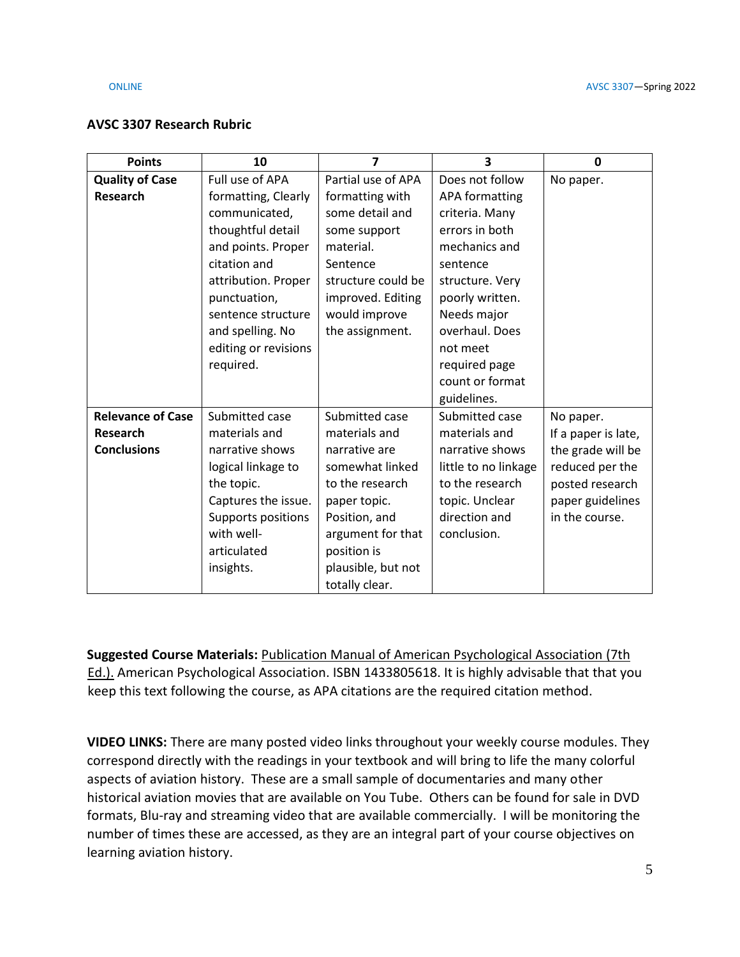#### **AVSC 3307 Research Rubric**

| <b>Points</b>            | 10                        | $\overline{7}$     | $\overline{\mathbf{3}}$ | $\mathbf 0$         |
|--------------------------|---------------------------|--------------------|-------------------------|---------------------|
| <b>Quality of Case</b>   | Full use of APA           | Partial use of APA | Does not follow         | No paper.           |
| Research                 | formatting, Clearly       | formatting with    | <b>APA formatting</b>   |                     |
|                          | communicated,             | some detail and    | criteria. Many          |                     |
|                          | thoughtful detail         | some support       | errors in both          |                     |
|                          | and points. Proper        | material.          | mechanics and           |                     |
|                          | citation and              | Sentence           | sentence                |                     |
|                          | attribution. Proper       | structure could be | structure. Very         |                     |
|                          | punctuation,              | improved. Editing  | poorly written.         |                     |
|                          | sentence structure        | would improve      | Needs major             |                     |
|                          | and spelling. No          | the assignment.    | overhaul. Does          |                     |
|                          | editing or revisions      |                    | not meet                |                     |
|                          | required.                 |                    | required page           |                     |
|                          |                           |                    | count or format         |                     |
|                          |                           |                    | guidelines.             |                     |
| <b>Relevance of Case</b> | Submitted case            | Submitted case     | Submitted case          | No paper.           |
| Research                 | materials and             | materials and      | materials and           | If a paper is late, |
| <b>Conclusions</b>       | narrative shows           | narrative are      | narrative shows         | the grade will be   |
|                          | logical linkage to        | somewhat linked    | little to no linkage    | reduced per the     |
|                          | the topic.                | to the research    | to the research         | posted research     |
|                          | Captures the issue.       | paper topic.       | topic. Unclear          | paper guidelines    |
|                          | <b>Supports positions</b> | Position, and      | direction and           | in the course.      |
|                          | with well-                | argument for that  | conclusion.             |                     |
|                          | articulated               | position is        |                         |                     |
|                          | insights.                 | plausible, but not |                         |                     |
|                          |                           | totally clear.     |                         |                     |

**Suggested Course Materials:** Publication Manual of American Psychological Association (7th Ed.). American Psychological Association. ISBN 1433805618. It is highly advisable that that you keep this text following the course, as APA citations are the required citation method.

**VIDEO LINKS:** There are many posted video links throughout your weekly course modules. They correspond directly with the readings in your textbook and will bring to life the many colorful aspects of aviation history. These are a small sample of documentaries and many other historical aviation movies that are available on You Tube. Others can be found for sale in DVD formats, Blu-ray and streaming video that are available commercially. I will be monitoring the number of times these are accessed, as they are an integral part of your course objectives on learning aviation history.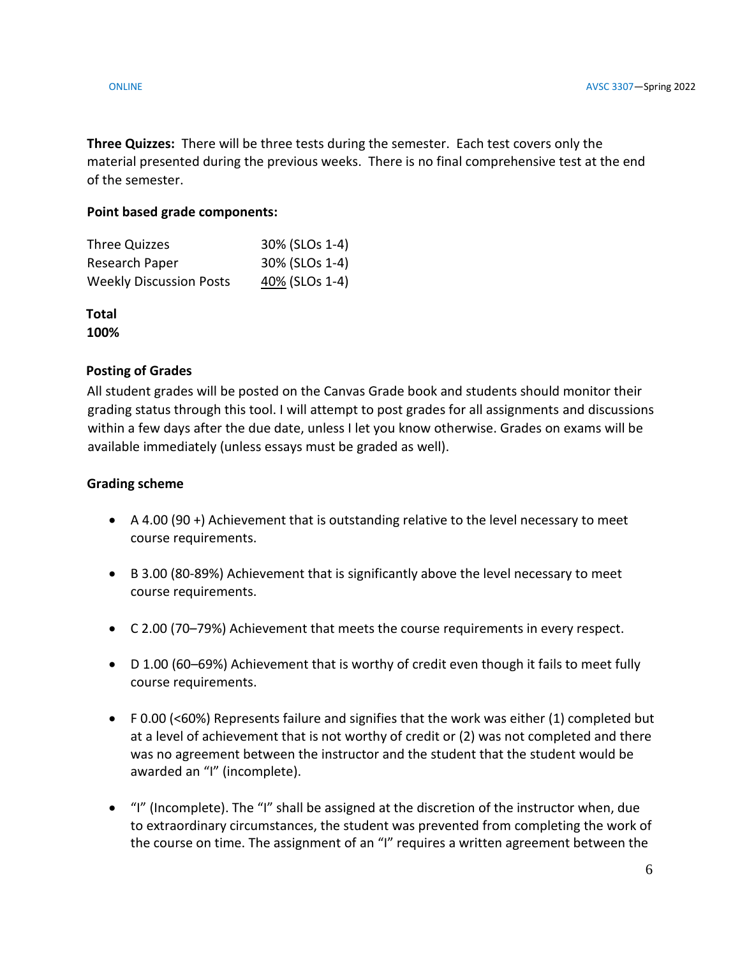**Three Quizzes:** There will be three tests during the semester. Each test covers only the material presented during the previous weeks. There is no final comprehensive test at the end of the semester.

## **Point based grade components:**

| Three Quizzes                  | 30% (SLOs 1-4) |
|--------------------------------|----------------|
| Research Paper                 | 30% (SLOs 1-4) |
| <b>Weekly Discussion Posts</b> | 40% (SLOs 1-4) |

**Total** 

**100%**

## **Posting of Grades**

All student grades will be posted on the Canvas Grade book and students should monitor their grading status through this tool. I will attempt to post grades for all assignments and discussions within a few days after the due date, unless I let you know otherwise. Grades on exams will be available immediately (unless essays must be graded as well).

## **Grading scheme**

- A 4.00 (90 +) Achievement that is outstanding relative to the level necessary to meet course requirements.
- B 3.00 (80-89%) Achievement that is significantly above the level necessary to meet course requirements.
- C 2.00 (70–79%) Achievement that meets the course requirements in every respect.
- D 1.00 (60–69%) Achievement that is worthy of credit even though it fails to meet fully course requirements.
- F 0.00 (<60%) Represents failure and signifies that the work was either (1) completed but at a level of achievement that is not worthy of credit or (2) was not completed and there was no agreement between the instructor and the student that the student would be awarded an "I" (incomplete).
- "I" (Incomplete). The "I" shall be assigned at the discretion of the instructor when, due to extraordinary circumstances, the student was prevented from completing the work of the course on time. The assignment of an "I" requires a written agreement between the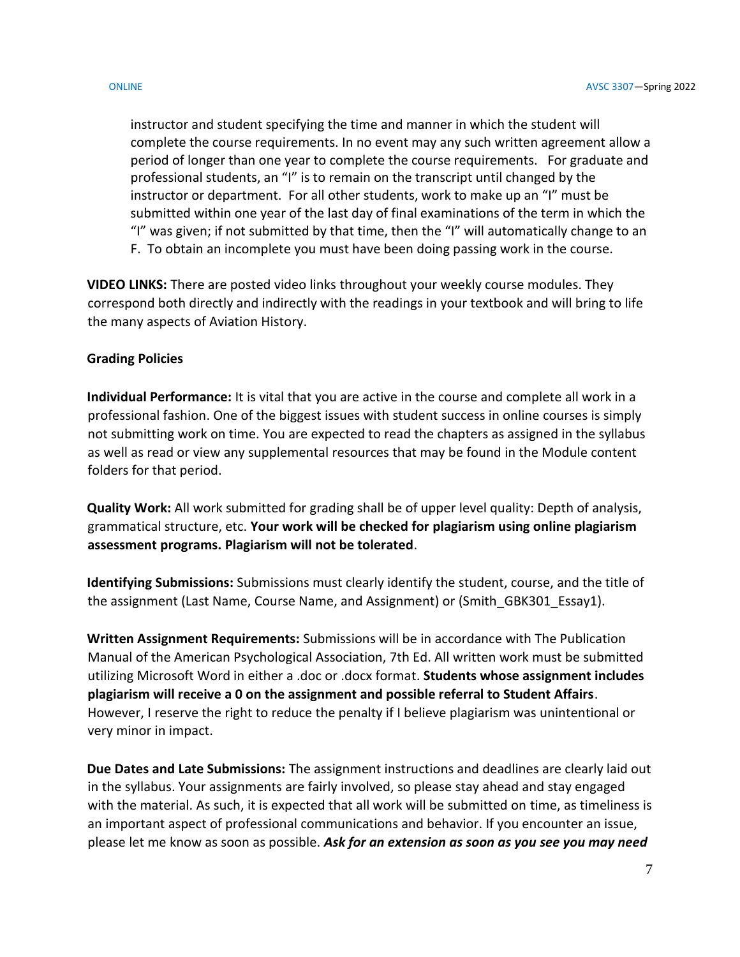instructor and student specifying the time and manner in which the student will complete the course requirements. In no event may any such written agreement allow a period of longer than one year to complete the course requirements. For graduate and professional students, an "I" is to remain on the transcript until changed by the instructor or department. For all other students, work to make up an "I" must be submitted within one year of the last day of final examinations of the term in which the "I" was given; if not submitted by that time, then the "I" will automatically change to an F. To obtain an incomplete you must have been doing passing work in the course.

**VIDEO LINKS:** There are posted video links throughout your weekly course modules. They correspond both directly and indirectly with the readings in your textbook and will bring to life the many aspects of Aviation History.

# **Grading Policies**

**Individual Performance:** It is vital that you are active in the course and complete all work in a professional fashion. One of the biggest issues with student success in online courses is simply not submitting work on time. You are expected to read the chapters as assigned in the syllabus as well as read or view any supplemental resources that may be found in the Module content folders for that period.

**Quality Work:** All work submitted for grading shall be of upper level quality: Depth of analysis, grammatical structure, etc. **Your work will be checked for plagiarism using online plagiarism assessment programs. Plagiarism will not be tolerated**.

**Identifying Submissions:** Submissions must clearly identify the student, course, and the title of the assignment (Last Name, Course Name, and Assignment) or (Smith GBK301 Essay1).

**Written Assignment Requirements:** Submissions will be in accordance with The Publication Manual of the American Psychological Association, 7th Ed. All written work must be submitted utilizing Microsoft Word in either a .doc or .docx format. **Students whose assignment includes plagiarism will receive a 0 on the assignment and possible referral to Student Affairs**. However, I reserve the right to reduce the penalty if I believe plagiarism was unintentional or very minor in impact.

**Due Dates and Late Submissions:** The assignment instructions and deadlines are clearly laid out in the syllabus. Your assignments are fairly involved, so please stay ahead and stay engaged with the material. As such, it is expected that all work will be submitted on time, as timeliness is an important aspect of professional communications and behavior. If you encounter an issue, please let me know as soon as possible. *Ask for an extension as soon as you see you may need*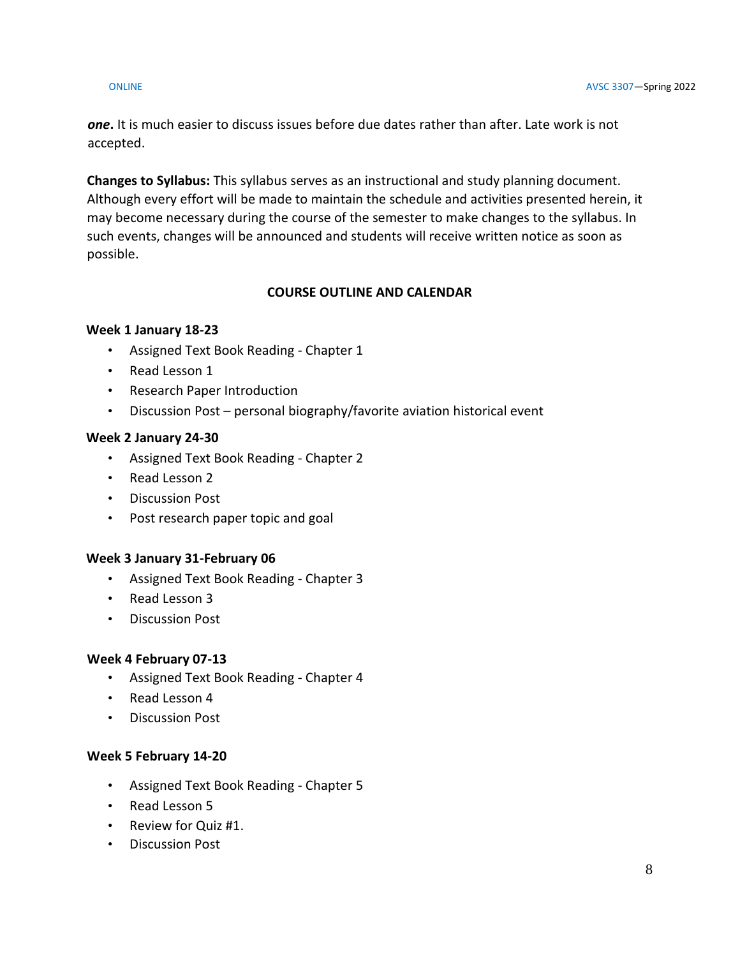*one***.** It is much easier to discuss issues before due dates rather than after. Late work is not accepted.

**Changes to Syllabus:** This syllabus serves as an instructional and study planning document. Although every effort will be made to maintain the schedule and activities presented herein, it may become necessary during the course of the semester to make changes to the syllabus. In such events, changes will be announced and students will receive written notice as soon as possible.

# **COURSE OUTLINE AND CALENDAR**

## **Week 1 January 18-23**

- Assigned Text Book Reading Chapter 1
- Read Lesson 1
- Research Paper Introduction
- Discussion Post personal biography/favorite aviation historical event

## **Week 2 January 24-30**

- Assigned Text Book Reading Chapter 2
- Read Lesson 2
- Discussion Post
- Post research paper topic and goal

### **Week 3 January 31-February 06**

- Assigned Text Book Reading Chapter 3
- Read Lesson 3
- Discussion Post

### **Week 4 February 07-13**

- Assigned Text Book Reading Chapter 4
- Read Lesson 4
- Discussion Post

### **Week 5 February 14-20**

- Assigned Text Book Reading Chapter 5
- Read Lesson 5
- Review for Quiz #1.
- Discussion Post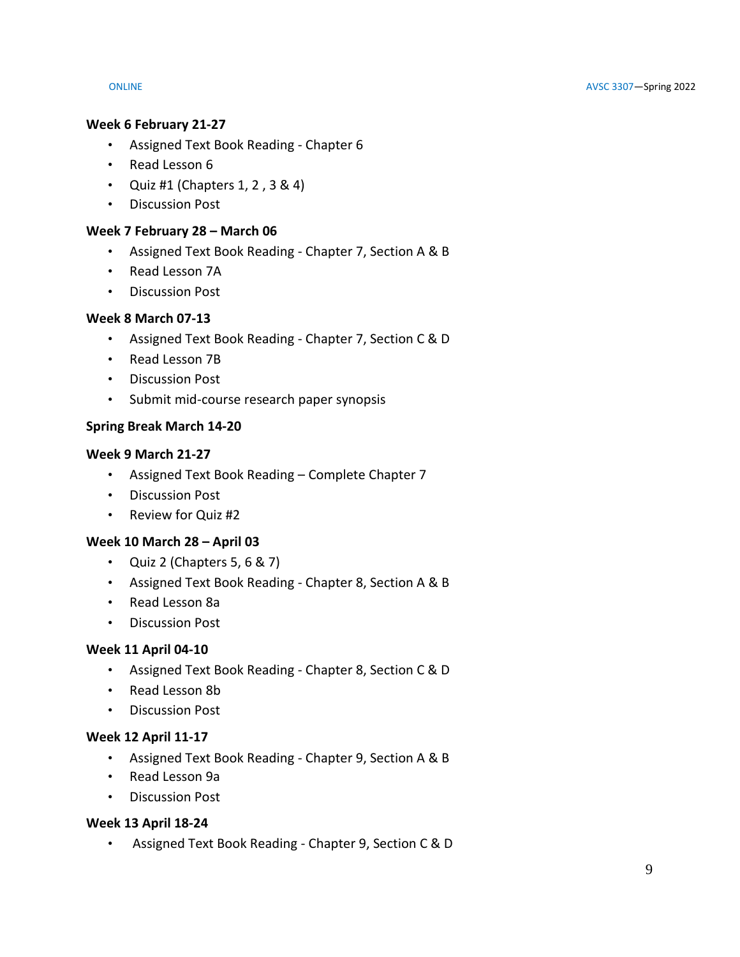## **Week 6 February 21-27**

- Assigned Text Book Reading Chapter 6
- Read Lesson 6
- Quiz #1 (Chapters  $1, 2, 3 \& 4$ )
- Discussion Post

### **Week 7 February 28 – March 06**

- Assigned Text Book Reading Chapter 7, Section A & B
- Read Lesson 7A
- Discussion Post

## **Week 8 March 07-13**

- Assigned Text Book Reading Chapter 7, Section C & D
- Read Lesson 7B
- Discussion Post
- Submit mid-course research paper synopsis

## **Spring Break March 14-20**

### **Week 9 March 21-27**

- Assigned Text Book Reading Complete Chapter 7
- Discussion Post
- Review for Quiz #2

### **Week 10 March 28 – April 03**

- Quiz 2 (Chapters 5, 6 & 7)
- Assigned Text Book Reading Chapter 8, Section A & B
- Read Lesson 8a
- Discussion Post

### **Week 11 April 04-10**

- Assigned Text Book Reading Chapter 8, Section C & D
- Read Lesson 8b
- Discussion Post

### **Week 12 April 11-17**

- Assigned Text Book Reading Chapter 9, Section A & B
- Read Lesson 9a
- Discussion Post

### **Week 13 April 18-24**

• Assigned Text Book Reading - Chapter 9, Section C & D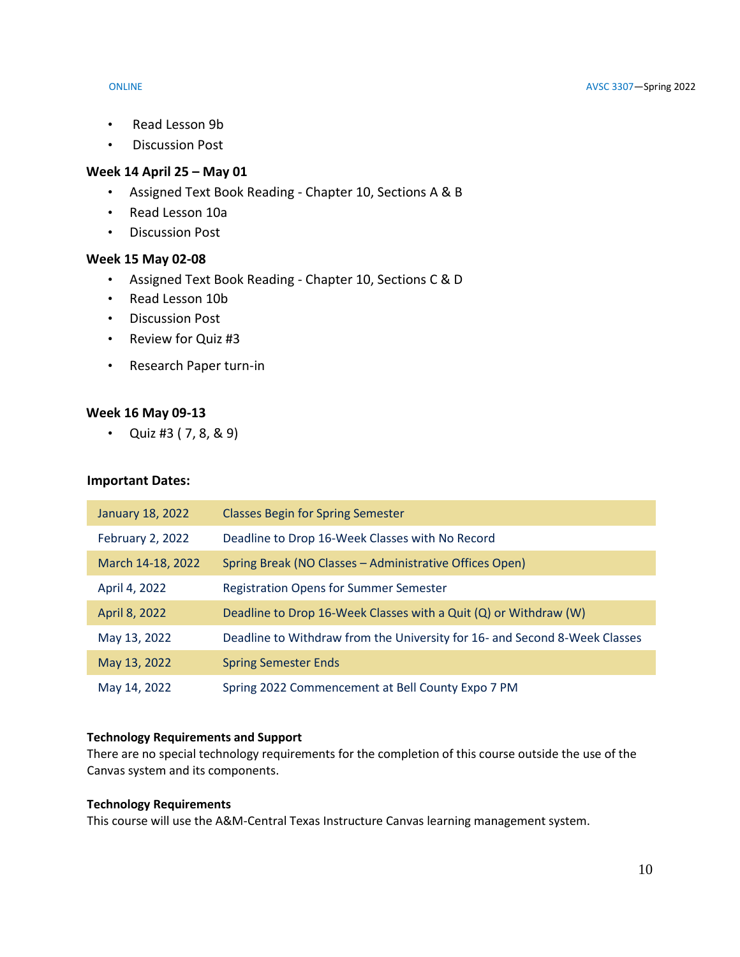- Read Lesson 9b
- Discussion Post

## **Week 14 April 25 – May 01**

- Assigned Text Book Reading Chapter 10, Sections A & B
- Read Lesson 10a
- Discussion Post

## **Week 15 May 02-08**

- Assigned Text Book Reading Chapter 10, Sections C & D
- Read Lesson 10b
- Discussion Post
- Review for Quiz #3
- Research Paper turn-in

## **Week 16 May 09-13**

• Quiz #3  $(7, 8, 8, 9)$ 

## **Important Dates:**

| January 18, 2022  | <b>Classes Begin for Spring Semester</b>                                   |
|-------------------|----------------------------------------------------------------------------|
| February 2, 2022  | Deadline to Drop 16-Week Classes with No Record                            |
| March 14-18, 2022 | Spring Break (NO Classes - Administrative Offices Open)                    |
| April 4, 2022     | <b>Registration Opens for Summer Semester</b>                              |
| April 8, 2022     | Deadline to Drop 16-Week Classes with a Quit (Q) or Withdraw (W)           |
| May 13, 2022      | Deadline to Withdraw from the University for 16- and Second 8-Week Classes |
| May 13, 2022      | <b>Spring Semester Ends</b>                                                |
| May 14, 2022      | Spring 2022 Commencement at Bell County Expo 7 PM                          |

## **Technology Requirements and Support**

There are no special technology requirements for the completion of this course outside the use of the Canvas system and its components.

### **Technology Requirements**

This course will use the A&M-Central Texas Instructure Canvas learning management system.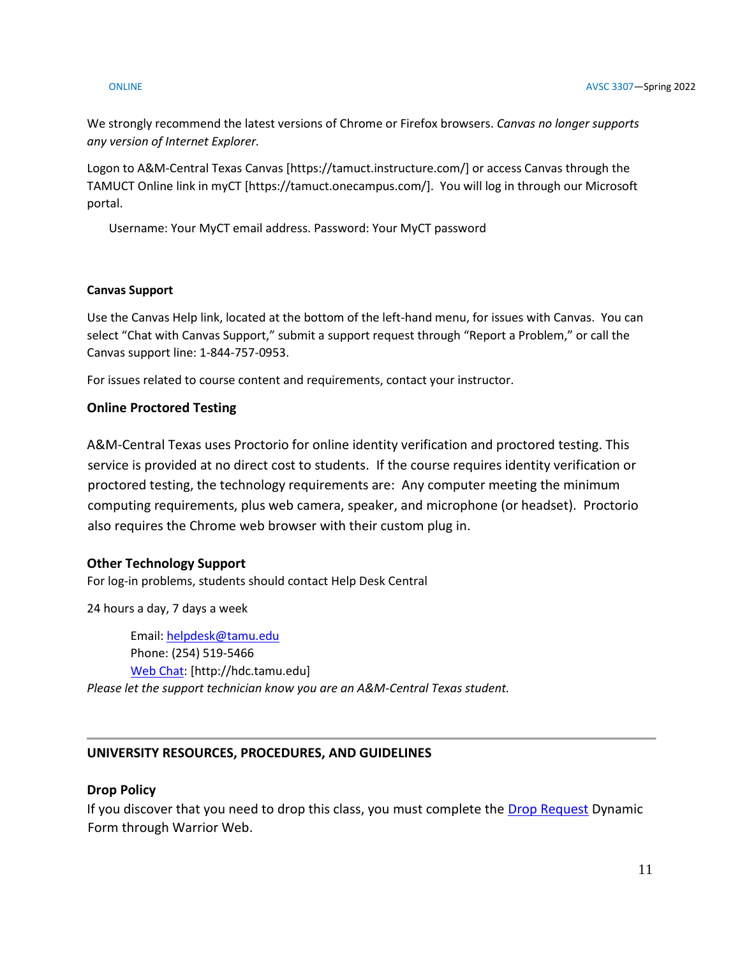We strongly recommend the latest versions of Chrome or Firefox browsers. *Canvas no longer supports any version of Internet Explorer.*

Logon to A&M-Central Texas Canvas [https://tamuct.instructure.com/] or access Canvas through the TAMUCT Online link in myCT [https://tamuct.onecampus.com/]. You will log in through our Microsoft portal.

Username: Your MyCT email address. Password: Your MyCT password

### **Canvas Support**

Use the Canvas Help link, located at the bottom of the left-hand menu, for issues with Canvas. You can select "Chat with Canvas Support," submit a support request through "Report a Problem," or call the Canvas support line: 1-844-757-0953.

For issues related to course content and requirements, contact your instructor.

## **Online Proctored Testing**

A&M-Central Texas uses Proctorio for online identity verification and proctored testing. This service is provided at no direct cost to students. If the course requires identity verification or proctored testing, the technology requirements are: Any computer meeting the minimum computing requirements, plus web camera, speaker, and microphone (or headset). Proctorio also requires the Chrome web browser with their custom plug in.

## **Other Technology Support**

For log-in problems, students should contact Help Desk Central

24 hours a day, 7 days a week

Email: [helpdesk@tamu.edu](mailto:helpdesk@tamu.edu) Phone: (254) 519-5466 [Web Chat:](http://hdc.tamu.edu/) [http://hdc.tamu.edu] *Please let the support technician know you are an A&M-Central Texas student.*

# **UNIVERSITY RESOURCES, PROCEDURES, AND GUIDELINES**

## **Drop Policy**

If you discover that you need to drop this class, you must complete the [Drop Request](https://dynamicforms.ngwebsolutions.com/casAuthentication.ashx?InstID=eaed95b9-f2be-45f3-a37d-46928168bc10&targetUrl=https%3A%2F%2Fdynamicforms.ngwebsolutions.com%2FSubmit%2FForm%2FStart%2F53b8369e-0502-4f36-be43-f02a4202f612) Dynamic Form through Warrior Web.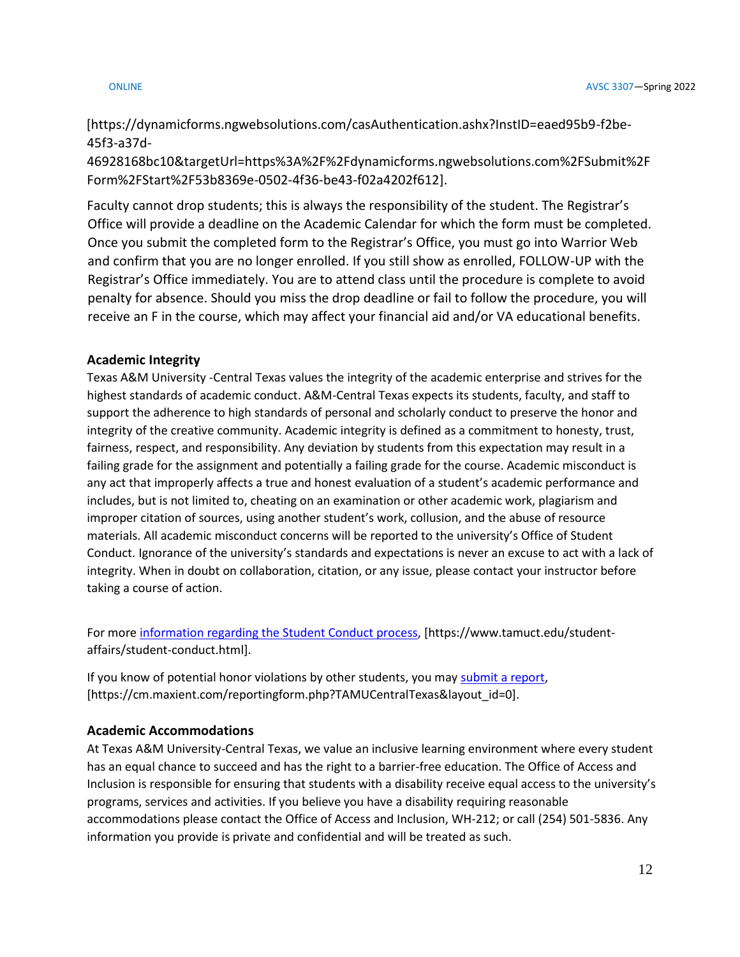[https://dynamicforms.ngwebsolutions.com/casAuthentication.ashx?InstID=eaed95b9-f2be-45f3-a37d-

46928168bc10&targetUrl=https%3A%2F%2Fdynamicforms.ngwebsolutions.com%2FSubmit%2F Form%2FStart%2F53b8369e-0502-4f36-be43-f02a4202f612].

Faculty cannot drop students; this is always the responsibility of the student. The Registrar's Office will provide a deadline on the Academic Calendar for which the form must be completed. Once you submit the completed form to the Registrar's Office, you must go into Warrior Web and confirm that you are no longer enrolled. If you still show as enrolled, FOLLOW-UP with the Registrar's Office immediately. You are to attend class until the procedure is complete to avoid penalty for absence. Should you miss the drop deadline or fail to follow the procedure, you will receive an F in the course, which may affect your financial aid and/or VA educational benefits.

## **Academic Integrity**

Texas A&M University -Central Texas values the integrity of the academic enterprise and strives for the highest standards of academic conduct. A&M-Central Texas expects its students, faculty, and staff to support the adherence to high standards of personal and scholarly conduct to preserve the honor and integrity of the creative community. Academic integrity is defined as a commitment to honesty, trust, fairness, respect, and responsibility. Any deviation by students from this expectation may result in a failing grade for the assignment and potentially a failing grade for the course. Academic misconduct is any act that improperly affects a true and honest evaluation of a student's academic performance and includes, but is not limited to, cheating on an examination or other academic work, plagiarism and improper citation of sources, using another student's work, collusion, and the abuse of resource materials. All academic misconduct concerns will be reported to the university's Office of Student Conduct. Ignorance of the university's standards and expectations is never an excuse to act with a lack of integrity. When in doubt on collaboration, citation, or any issue, please contact your instructor before taking a course of action.

For mor[e information regarding the Student Conduct process,](https://www.tamuct.edu/student-affairs/student-conduct.html) [https://www.tamuct.edu/studentaffairs/student-conduct.html].

If you know of potential honor violations by other students, you may [submit a report,](https://cm.maxient.com/reportingform.php?TAMUCentralTexas&layout_id=0) [https://cm.maxient.com/reportingform.php?TAMUCentralTexas&layout\_id=0].

## **Academic Accommodations**

At Texas A&M University-Central Texas, we value an inclusive learning environment where every student has an equal chance to succeed and has the right to a barrier-free education. The Office of Access and Inclusion is responsible for ensuring that students with a disability receive equal access to the university's programs, services and activities. If you believe you have a disability requiring reasonable accommodations please contact the Office of Access and Inclusion, WH-212; or call (254) 501-5836. Any information you provide is private and confidential and will be treated as such.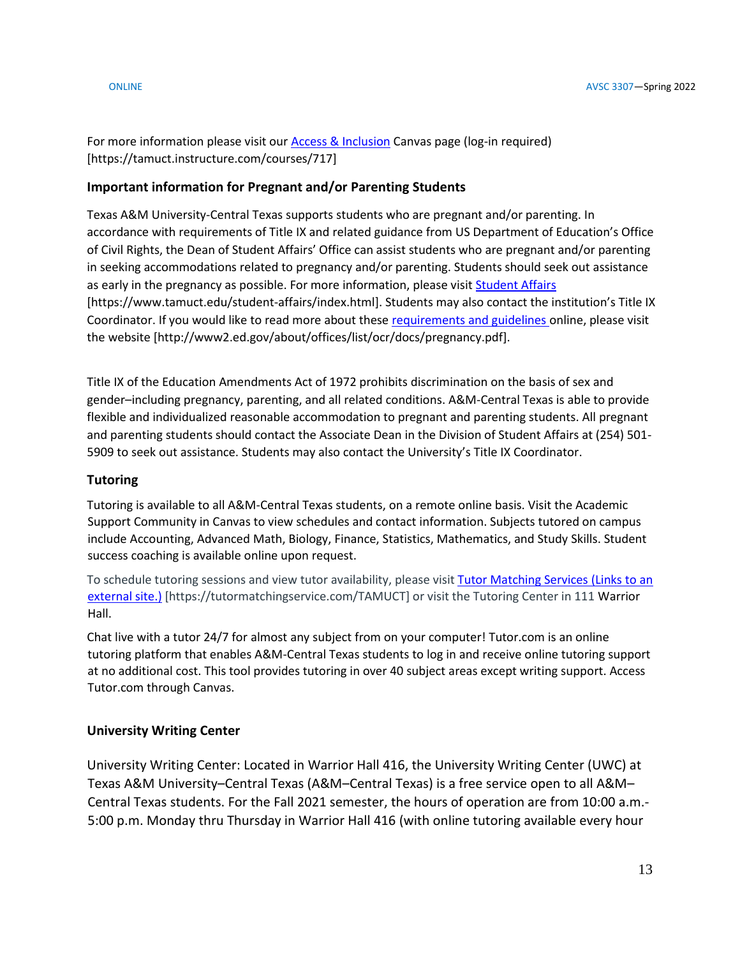For more information please visit our [Access & Inclusion](https://tamuct.instructure.com/courses/717) Canvas page (log-in required) [https://tamuct.instructure.com/courses/717]

### **Important information for Pregnant and/or Parenting Students**

Texas A&M University-Central Texas supports students who are pregnant and/or parenting. In accordance with requirements of Title IX and related guidance from US Department of Education's Office of Civil Rights, the Dean of Student Affairs' Office can assist students who are pregnant and/or parenting in seeking accommodations related to pregnancy and/or parenting. Students should seek out assistance as early in the pregnancy as possible. For more information, please visi[t Student Affairs](https://www.tamuct.edu/student-affairs/index.html) [https://www.tamuct.edu/student-affairs/index.html]. Students may also contact the institution's Title IX Coordinator. If you would like to read more about these [requirements and guidelines](http://www2.ed.gov/about/offices/list/ocr/docs/pregnancy.pdf) online, please visit the website [http://www2.ed.gov/about/offices/list/ocr/docs/pregnancy.pdf].

Title IX of the Education Amendments Act of 1972 prohibits discrimination on the basis of sex and gender–including pregnancy, parenting, and all related conditions. A&M-Central Texas is able to provide flexible and individualized reasonable accommodation to pregnant and parenting students. All pregnant and parenting students should contact the Associate Dean in the Division of Student Affairs at (254) 501- 5909 to seek out assistance. Students may also contact the University's Title IX Coordinator.

### **Tutoring**

Tutoring is available to all A&M-Central Texas students, on a remote online basis. Visit the Academic Support Community in Canvas to view schedules and contact information. Subjects tutored on campus include Accounting, Advanced Math, Biology, Finance, Statistics, Mathematics, and Study Skills. Student success coaching is available online upon request.

To schedule tutoring sessions and view tutor availability, please visit [Tutor Matching Services](https://tutormatchingservice.com/TAMUCT) (Links to an [external](https://tutormatchingservice.com/TAMUCT) site.) [https://tutormatchingservice.com/TAMUCT] or visit the Tutoring Center in 111 Warrior Hall.

Chat live with a tutor 24/7 for almost any subject from on your computer! Tutor.com is an online tutoring platform that enables A&M-Central Texas students to log in and receive online tutoring support at no additional cost. This tool provides tutoring in over 40 subject areas except writing support. Access Tutor.com through Canvas.

## **University Writing Center**

University Writing Center: Located in Warrior Hall 416, the University Writing Center (UWC) at Texas A&M University–Central Texas (A&M–Central Texas) is a free service open to all A&M– Central Texas students. For the Fall 2021 semester, the hours of operation are from 10:00 a.m.- 5:00 p.m. Monday thru Thursday in Warrior Hall 416 (with online tutoring available every hour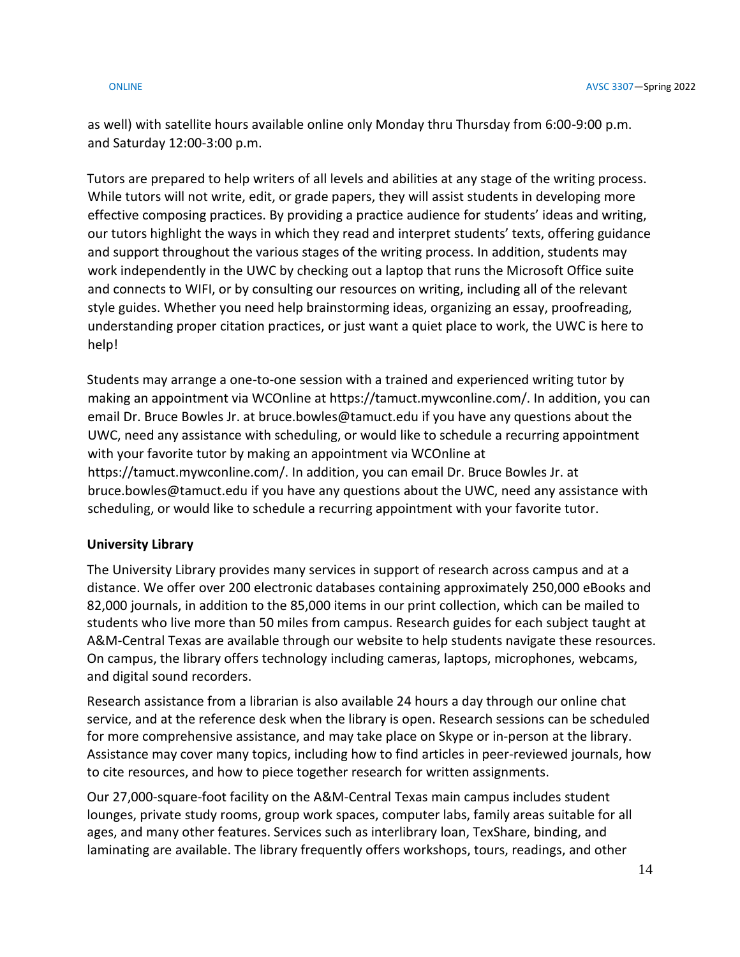as well) with satellite hours available online only Monday thru Thursday from 6:00-9:00 p.m. and Saturday 12:00-3:00 p.m.

Tutors are prepared to help writers of all levels and abilities at any stage of the writing process. While tutors will not write, edit, or grade papers, they will assist students in developing more effective composing practices. By providing a practice audience for students' ideas and writing, our tutors highlight the ways in which they read and interpret students' texts, offering guidance and support throughout the various stages of the writing process. In addition, students may work independently in the UWC by checking out a laptop that runs the Microsoft Office suite and connects to WIFI, or by consulting our resources on writing, including all of the relevant style guides. Whether you need help brainstorming ideas, organizing an essay, proofreading, understanding proper citation practices, or just want a quiet place to work, the UWC is here to help!

Students may arrange a one-to-one session with a trained and experienced writing tutor by making an appointment via WCOnline at https://tamuct.mywconline.com/. In addition, you can email Dr. Bruce Bowles Jr. at bruce.bowles@tamuct.edu if you have any questions about the UWC, need any assistance with scheduling, or would like to schedule a recurring appointment with your favorite tutor by making an appointment via WCOnline at https://tamuct.mywconline.com/. In addition, you can email Dr. Bruce Bowles Jr. at bruce.bowles@tamuct.edu if you have any questions about the UWC, need any assistance with scheduling, or would like to schedule a recurring appointment with your favorite tutor.

## **University Library**

The University Library provides many services in support of research across campus and at a distance. We offer over 200 electronic databases containing approximately 250,000 eBooks and 82,000 journals, in addition to the 85,000 items in our print collection, which can be mailed to students who live more than 50 miles from campus. Research guides for each subject taught at A&M-Central Texas are available through our website to help students navigate these resources. On campus, the library offers technology including cameras, laptops, microphones, webcams, and digital sound recorders.

Research assistance from a librarian is also available 24 hours a day through our online chat service, and at the reference desk when the library is open. Research sessions can be scheduled for more comprehensive assistance, and may take place on Skype or in-person at the library. Assistance may cover many topics, including how to find articles in peer-reviewed journals, how to cite resources, and how to piece together research for written assignments.

Our 27,000-square-foot facility on the A&M-Central Texas main campus includes student lounges, private study rooms, group work spaces, computer labs, family areas suitable for all ages, and many other features. Services such as interlibrary loan, TexShare, binding, and laminating are available. The library frequently offers workshops, tours, readings, and other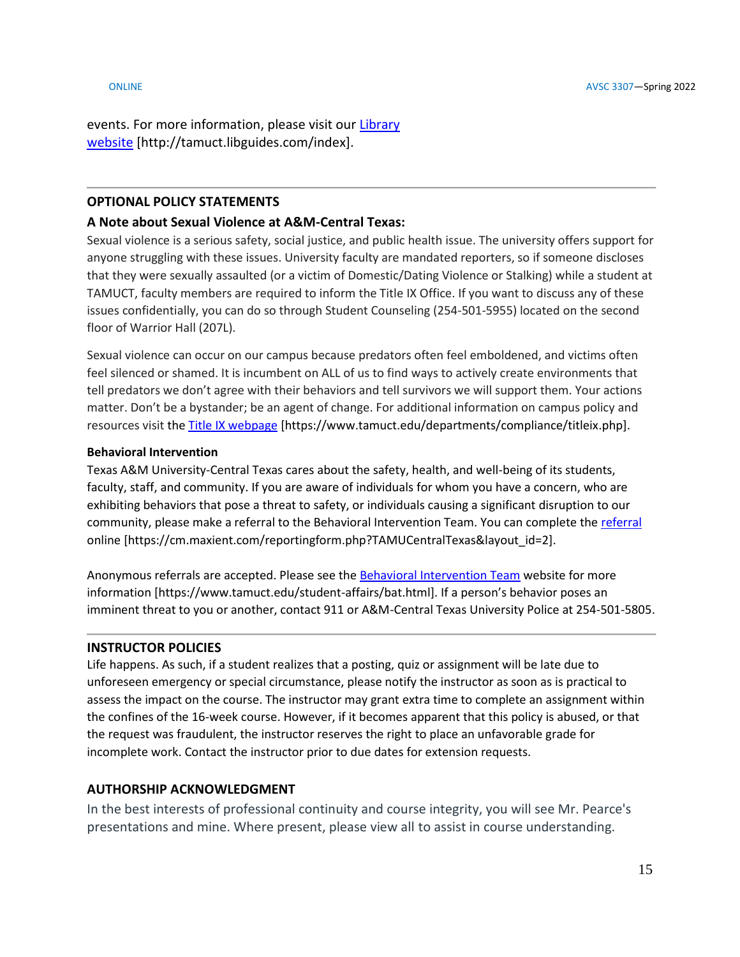events. For more information, please visit our [Library](https://tamuct.libguides.com/index) [website](https://tamuct.libguides.com/index) [http://tamuct.libguides.com/index].

## **OPTIONAL POLICY STATEMENTS**

## **A Note about Sexual Violence at A&M-Central Texas:**

Sexual violence is a serious safety, social justice, and public health issue. The university offers support for anyone struggling with these issues. University faculty are mandated reporters, so if someone discloses that they were sexually assaulted (or a victim of Domestic/Dating Violence or Stalking) while a student at TAMUCT, faculty members are required to inform the Title IX Office. If you want to discuss any of these issues confidentially, you can do so through Student Counseling (254-501-5955) located on the second floor of Warrior Hall (207L).

Sexual violence can occur on our campus because predators often feel emboldened, and victims often feel silenced or shamed. It is incumbent on ALL of us to find ways to actively create environments that tell predators we don't agree with their behaviors and tell survivors we will support them. Your actions matter. Don't be a bystander; be an agent of change. For additional information on campus policy and resources visit the [Title IX webpage](https://www.tamuct.edu/departments/compliance/titleix.php) [https://www.tamuct.edu/departments/compliance/titleix.php].

### **Behavioral Intervention**

Texas A&M University-Central Texas cares about the safety, health, and well-being of its students, faculty, staff, and community. If you are aware of individuals for whom you have a concern, who are exhibiting behaviors that pose a threat to safety, or individuals causing a significant disruption to our community, please make a referral to the Behavioral Intervention Team. You can complete the [referral](https://cm.maxient.com/reportingform.php?TAMUCentralTexas&layout_id=2) online [https://cm.maxient.com/reportingform.php?TAMUCentralTexas&layout\_id=2].

Anonymous referrals are accepted. Please see th[e Behavioral Intervention Team](https://www.tamuct.edu/student-affairs/bat.html) website for more information [https://www.tamuct.edu/student-affairs/bat.html]. If a person's behavior poses an imminent threat to you or another, contact 911 or A&M-Central Texas University Police at 254-501-5805.

### **INSTRUCTOR POLICIES**

Life happens. As such, if a student realizes that a posting, quiz or assignment will be late due to unforeseen emergency or special circumstance, please notify the instructor as soon as is practical to assess the impact on the course. The instructor may grant extra time to complete an assignment within the confines of the 16-week course. However, if it becomes apparent that this policy is abused, or that the request was fraudulent, the instructor reserves the right to place an unfavorable grade for incomplete work. Contact the instructor prior to due dates for extension requests.

## **AUTHORSHIP ACKNOWLEDGMENT**

In the best interests of professional continuity and course integrity, you will see Mr. Pearce's presentations and mine. Where present, please view all to assist in course understanding.